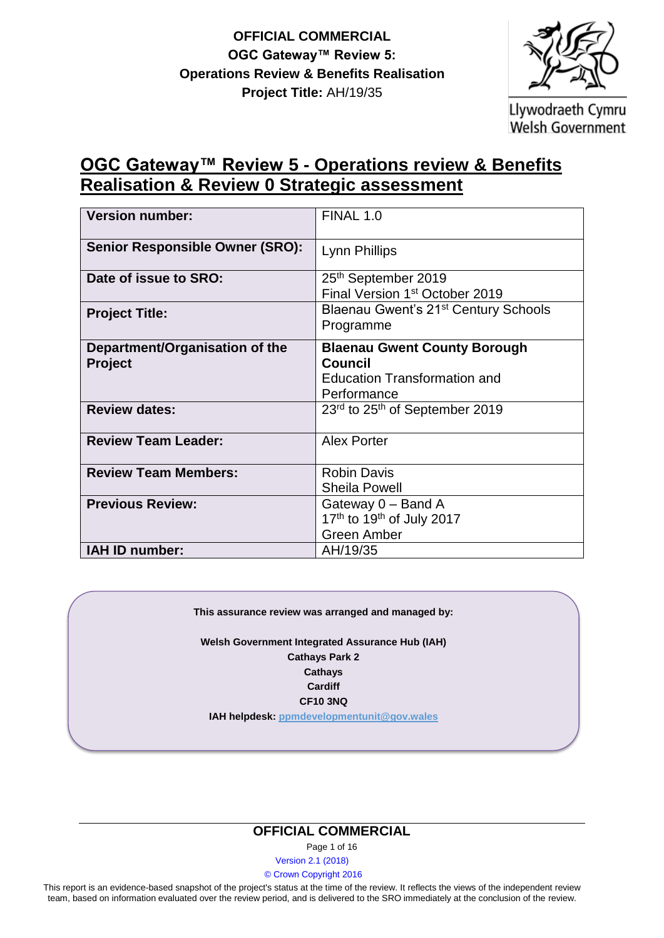

Llywodraeth Cymru Welsh Government

# **OGC Gateway™ Review 5 - Operations review & Benefits Realisation & Review 0 Strategic assessment**

| <b>Version number:</b>                           | <b>FINAL 1.0</b>                                                                                     |
|--------------------------------------------------|------------------------------------------------------------------------------------------------------|
| <b>Senior Responsible Owner (SRO):</b>           | Lynn Phillips                                                                                        |
| Date of issue to SRO:                            | 25 <sup>th</sup> September 2019<br>Final Version 1 <sup>st</sup> October 2019                        |
| <b>Project Title:</b>                            | Blaenau Gwent's 21 <sup>st</sup> Century Schools<br>Programme                                        |
| Department/Organisation of the<br><b>Project</b> | <b>Blaenau Gwent County Borough</b><br>Council<br><b>Education Transformation and</b><br>Performance |
| <b>Review dates:</b>                             | 23 <sup>rd</sup> to 25 <sup>th</sup> of September 2019                                               |
| <b>Review Team Leader:</b>                       | <b>Alex Porter</b>                                                                                   |
| <b>Review Team Members:</b>                      | <b>Robin Davis</b><br><b>Sheila Powell</b>                                                           |
| <b>Previous Review:</b>                          | Gateway 0 - Band A<br>17th to 19th of July 2017<br><b>Green Amber</b>                                |
| IAH ID number:                                   | AH/19/35                                                                                             |

#### **This assurance review was arranged and managed by:**

**Welsh Government Integrated Assurance Hub (IAH) Cathays Park 2 Cathays Cardiff CF10 3NQ**

**IAH helpdesk: [ppmdevelopmentunit@gov.wales](mailto:ppmdevelopmentunit@wales.gsi.gov.uk)**

#### **OFFICIAL COMMERCIAL**

Page 1 of 16

Version 2.1 (2018)

© Crown Copyright 2016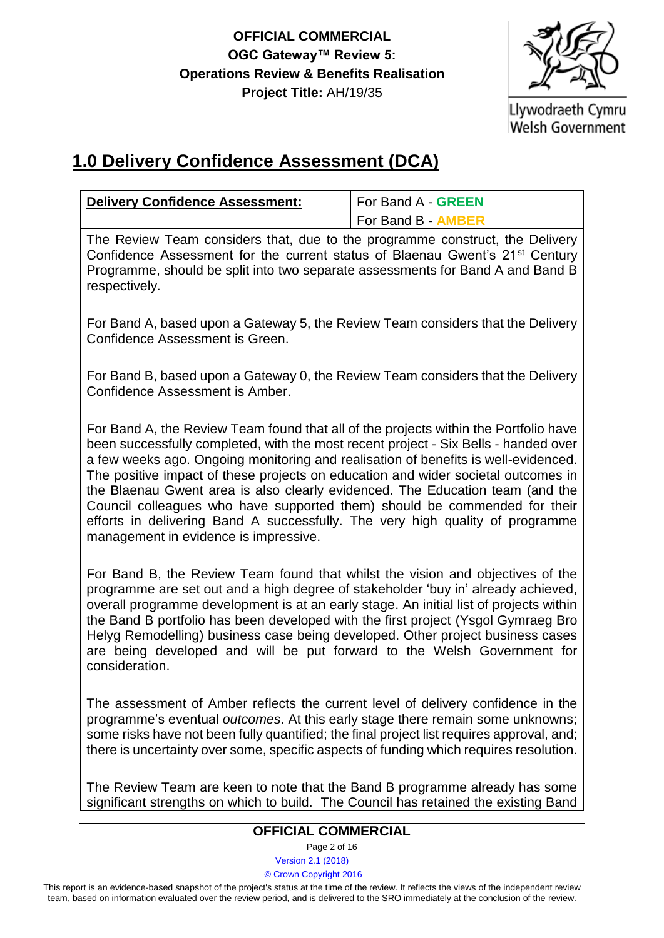

# **1.0 Delivery Confidence Assessment (DCA)**

| <b>Delivery Confidence Assessment:</b>                                                                                                                                                                                                                                                                                                                                                                                                                                                                                                                                                                                                         | For Band A - GREEN        |  |
|------------------------------------------------------------------------------------------------------------------------------------------------------------------------------------------------------------------------------------------------------------------------------------------------------------------------------------------------------------------------------------------------------------------------------------------------------------------------------------------------------------------------------------------------------------------------------------------------------------------------------------------------|---------------------------|--|
|                                                                                                                                                                                                                                                                                                                                                                                                                                                                                                                                                                                                                                                | For Band B - <b>AMBER</b> |  |
| The Review Team considers that, due to the programme construct, the Delivery<br>Confidence Assessment for the current status of Blaenau Gwent's 21 <sup>st</sup> Century<br>Programme, should be split into two separate assessments for Band A and Band B<br>respectively.                                                                                                                                                                                                                                                                                                                                                                    |                           |  |
| For Band A, based upon a Gateway 5, the Review Team considers that the Delivery<br>Confidence Assessment is Green.                                                                                                                                                                                                                                                                                                                                                                                                                                                                                                                             |                           |  |
| For Band B, based upon a Gateway 0, the Review Team considers that the Delivery<br>Confidence Assessment is Amber.                                                                                                                                                                                                                                                                                                                                                                                                                                                                                                                             |                           |  |
| For Band A, the Review Team found that all of the projects within the Portfolio have<br>been successfully completed, with the most recent project - Six Bells - handed over<br>a few weeks ago. Ongoing monitoring and realisation of benefits is well-evidenced.<br>The positive impact of these projects on education and wider societal outcomes in<br>the Blaenau Gwent area is also clearly evidenced. The Education team (and the<br>Council colleagues who have supported them) should be commended for their<br>efforts in delivering Band A successfully. The very high quality of programme<br>management in evidence is impressive. |                           |  |
| For Band B, the Review Team found that whilst the vision and objectives of the<br>programme are set out and a high degree of stakeholder 'buy in' already achieved,<br>overall programme development is at an early stage. An initial list of projects within<br>the Band B portfolio has been developed with the first project (Ysgol Gymraeg Bro<br>Helyg Remodelling) business case being developed. Other project business cases<br>are being developed and will be put forward to the Welsh Government for<br>consideration.                                                                                                              |                           |  |
| The assessment of Amber reflects the current level of delivery confidence in the<br>programme's eventual outcomes. At this early stage there remain some unknowns;<br>some risks have not been fully quantified; the final project list requires approval, and;<br>there is uncertainty over some, specific aspects of funding which requires resolution.                                                                                                                                                                                                                                                                                      |                           |  |
| The Review Team are keen to note that the Band B programme already has some<br>significant strengths on which to build. The Council has retained the existing Band                                                                                                                                                                                                                                                                                                                                                                                                                                                                             |                           |  |
| <b>OFFICIAL COMMERCIAL</b>                                                                                                                                                                                                                                                                                                                                                                                                                                                                                                                                                                                                                     |                           |  |

Page 2 of 16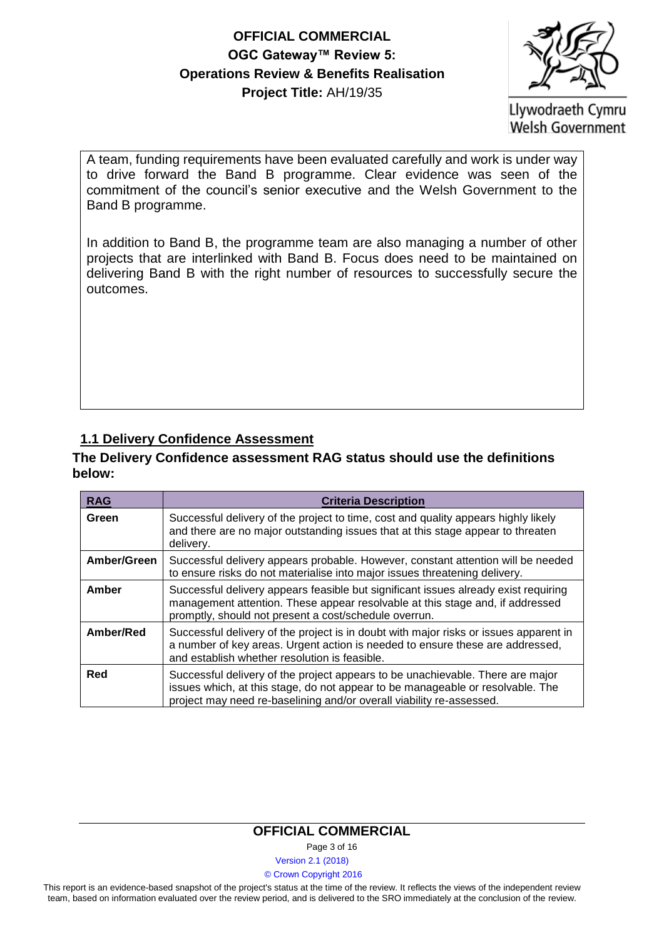

Llywodraeth Cymru **Welsh Government** 

A team, funding requirements have been evaluated carefully and work is under way to drive forward the Band B programme. Clear evidence was seen of the commitment of the council's senior executive and the Welsh Government to the Band B programme.

In addition to Band B, the programme team are also managing a number of other projects that are interlinked with Band B. Focus does need to be maintained on delivering Band B with the right number of resources to successfully secure the outcomes.

### **1.1 Delivery Confidence Assessment**

#### **The Delivery Confidence assessment RAG status should use the definitions below:**

| <b>RAG</b>  | <b>Criteria Description</b>                                                                                                                                                                                                              |
|-------------|------------------------------------------------------------------------------------------------------------------------------------------------------------------------------------------------------------------------------------------|
| Green       | Successful delivery of the project to time, cost and quality appears highly likely<br>and there are no major outstanding issues that at this stage appear to threaten<br>delivery.                                                       |
| Amber/Green | Successful delivery appears probable. However, constant attention will be needed<br>to ensure risks do not materialise into major issues threatening delivery.                                                                           |
| Amber       | Successful delivery appears feasible but significant issues already exist requiring<br>management attention. These appear resolvable at this stage and, if addressed<br>promptly, should not present a cost/schedule overrun.            |
| Amber/Red   | Successful delivery of the project is in doubt with major risks or issues apparent in<br>a number of key areas. Urgent action is needed to ensure these are addressed,<br>and establish whether resolution is feasible.                  |
| Red         | Successful delivery of the project appears to be unachievable. There are major<br>issues which, at this stage, do not appear to be manageable or resolvable. The<br>project may need re-baselining and/or overall viability re-assessed. |

#### **OFFICIAL COMMERCIAL**

Page 3 of 16

Version 2.1 (2018)

#### © Crown Copyright 2016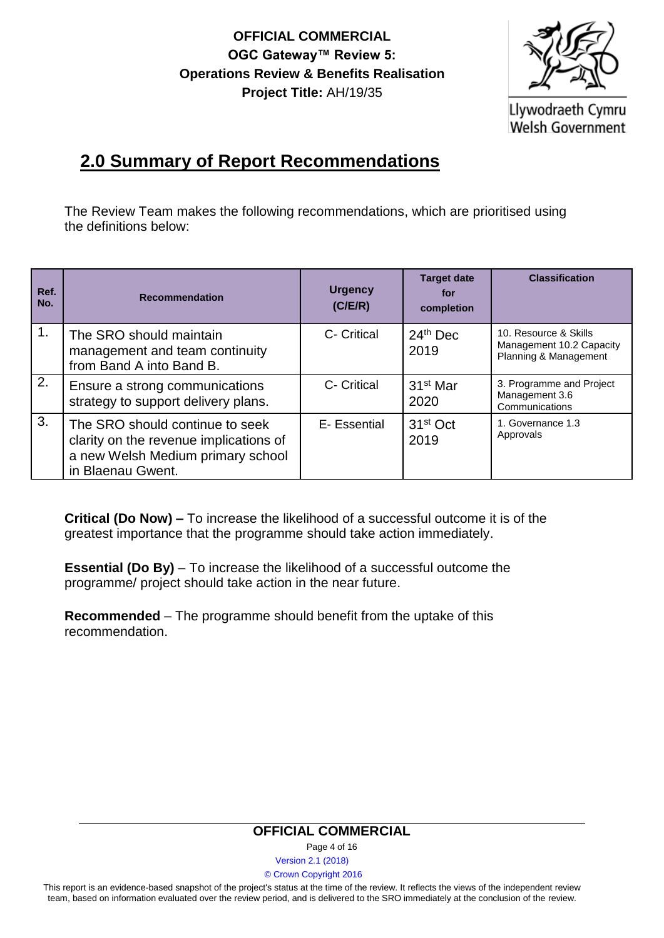

Llywodraeth Cymru **Welsh Government** 

# **2.0 Summary of Report Recommendations**

The Review Team makes the following recommendations, which are prioritised using the definitions below:

| Ref.<br>No. | <b>Recommendation</b>                                                                                                               | <b>Urgency</b><br>(C/ E/R) | <b>Target date</b><br>for<br>completion | <b>Classification</b>                                                      |
|-------------|-------------------------------------------------------------------------------------------------------------------------------------|----------------------------|-----------------------------------------|----------------------------------------------------------------------------|
| 1.          | The SRO should maintain<br>management and team continuity<br>from Band A into Band B.                                               | C- Critical                | $24th$ Dec<br>2019                      | 10. Resource & Skills<br>Management 10.2 Capacity<br>Planning & Management |
| 2.          | Ensure a strong communications<br>strategy to support delivery plans.                                                               | C- Critical                | 31 <sup>st</sup> Mar<br>2020            | 3. Programme and Project<br>Management 3.6<br>Communications               |
| 3.          | The SRO should continue to seek<br>clarity on the revenue implications of<br>a new Welsh Medium primary school<br>in Blaenau Gwent. | E- Essential               | 31 <sup>st</sup> Oct<br>2019            | 1. Governance 1.3<br>Approvals                                             |

**Critical (Do Now) –** To increase the likelihood of a successful outcome it is of the greatest importance that the programme should take action immediately.

**Essential (Do By)** – To increase the likelihood of a successful outcome the programme/ project should take action in the near future.

**Recommended** – The programme should benefit from the uptake of this recommendation.

#### **OFFICIAL COMMERCIAL**

Page 4 of 16

Version 2.1 (2018)

© Crown Copyright 2016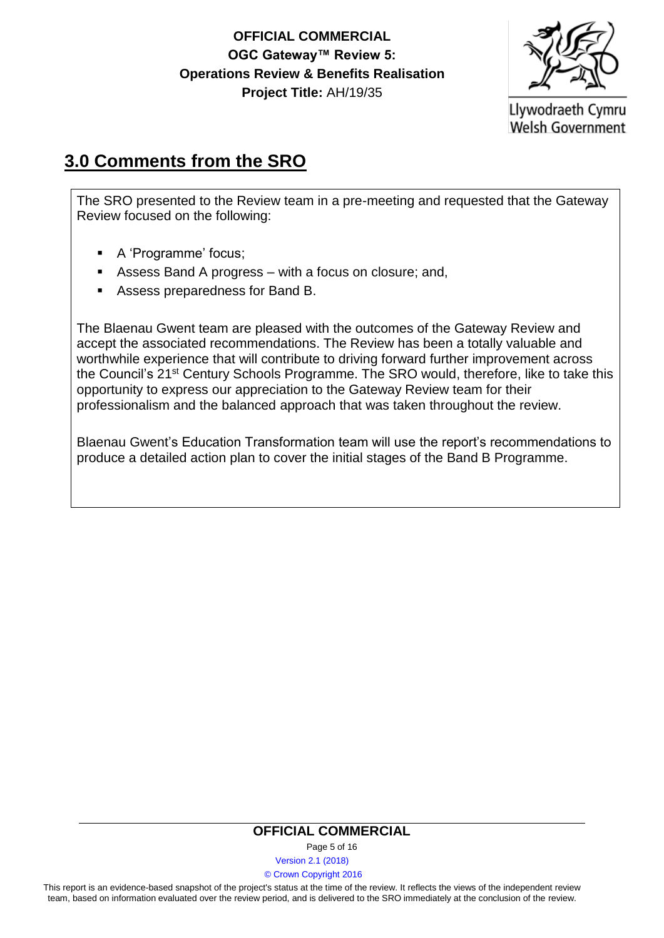

# **3.0 Comments from the SRO**

The SRO presented to the Review team in a pre-meeting and requested that the Gateway Review focused on the following:

- A 'Programme' focus;
- Assess Band A progress with a focus on closure; and,
- Assess preparedness for Band B.

The Blaenau Gwent team are pleased with the outcomes of the Gateway Review and accept the associated recommendations. The Review has been a totally valuable and worthwhile experience that will contribute to driving forward further improvement across the Council's 21st Century Schools Programme. The SRO would, therefore, like to take this opportunity to express our appreciation to the Gateway Review team for their professionalism and the balanced approach that was taken throughout the review.

Blaenau Gwent's Education Transformation team will use the report's recommendations to produce a detailed action plan to cover the initial stages of the Band B Programme.

#### **OFFICIAL COMMERCIAL**

Page 5 of 16

Version 2.1 (2018)

© Crown Copyright 2016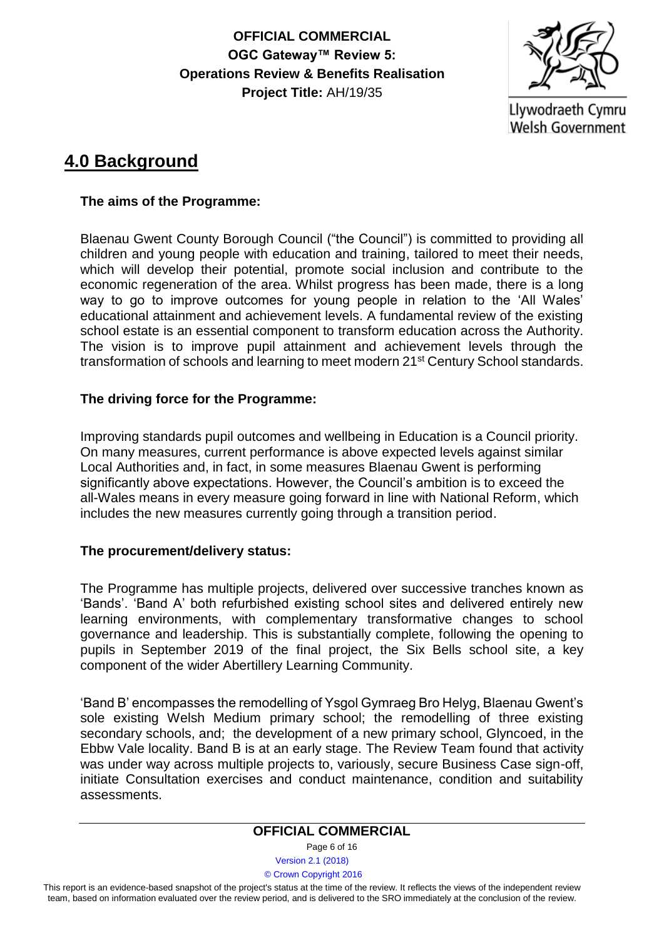

Llywodraeth Cymru **Welsh Government** 

# **4.0 Background**

#### **The aims of the Programme:**

Blaenau Gwent County Borough Council ("the Council") is committed to providing all children and young people with education and training, tailored to meet their needs, which will develop their potential, promote social inclusion and contribute to the economic regeneration of the area. Whilst progress has been made, there is a long way to go to improve outcomes for young people in relation to the 'All Wales' educational attainment and achievement levels. A fundamental review of the existing school estate is an essential component to transform education across the Authority. The vision is to improve pupil attainment and achievement levels through the transformation of schools and learning to meet modern 21st Century School standards.

### **The driving force for the Programme:**

Improving standards pupil outcomes and wellbeing in Education is a Council priority. On many measures, current performance is above expected levels against similar Local Authorities and, in fact, in some measures Blaenau Gwent is performing significantly above expectations. However, the Council's ambition is to exceed the all-Wales means in every measure going forward in line with National Reform, which includes the new measures currently going through a transition period.

#### **The procurement/delivery status:**

The Programme has multiple projects, delivered over successive tranches known as 'Bands'. 'Band A' both refurbished existing school sites and delivered entirely new learning environments, with complementary transformative changes to school governance and leadership. This is substantially complete, following the opening to pupils in September 2019 of the final project, the Six Bells school site, a key component of the wider Abertillery Learning Community.

'Band B' encompasses the remodelling of Ysgol Gymraeg Bro Helyg, Blaenau Gwent's sole existing Welsh Medium primary school; the remodelling of three existing secondary schools, and; the development of a new primary school, Glyncoed, in the Ebbw Vale locality. Band B is at an early stage. The Review Team found that activity was under way across multiple projects to, variously, secure Business Case sign-off, initiate Consultation exercises and conduct maintenance, condition and suitability assessments.

#### **OFFICIAL COMMERCIAL**

Page 6 of 16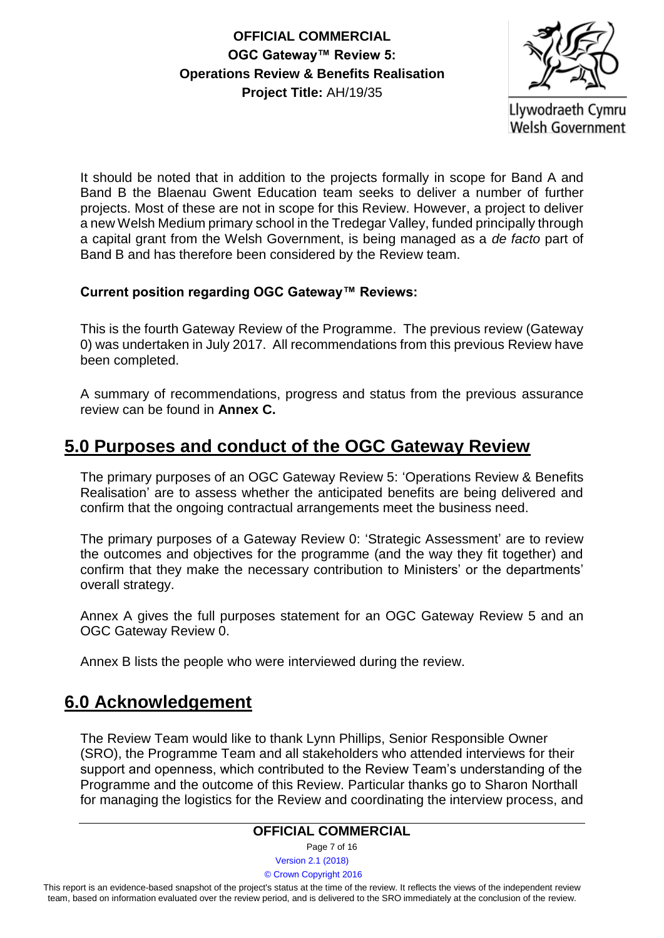

It should be noted that in addition to the projects formally in scope for Band A and Band B the Blaenau Gwent Education team seeks to deliver a number of further projects. Most of these are not in scope for this Review. However, a project to deliver a new Welsh Medium primary school in the Tredegar Valley, funded principally through a capital grant from the Welsh Government, is being managed as a *de facto* part of Band B and has therefore been considered by the Review team.

### **Current position regarding OGC Gateway™ Reviews:**

This is the fourth Gateway Review of the Programme. The previous review (Gateway 0) was undertaken in July 2017. All recommendations from this previous Review have been completed.

A summary of recommendations, progress and status from the previous assurance review can be found in **Annex C.**

## **5.0 Purposes and conduct of the OGC Gateway Review**

The primary purposes of an OGC Gateway Review 5: 'Operations Review & Benefits Realisation' are to assess whether the anticipated benefits are being delivered and confirm that the ongoing contractual arrangements meet the business need.

The primary purposes of a Gateway Review 0: 'Strategic Assessment' are to review the outcomes and objectives for the programme (and the way they fit together) and confirm that they make the necessary contribution to Ministers' or the departments' overall strategy.

Annex A gives the full purposes statement for an OGC Gateway Review 5 and an OGC Gateway Review 0.

Annex B lists the people who were interviewed during the review.

## **6.0 Acknowledgement**

The Review Team would like to thank Lynn Phillips, Senior Responsible Owner (SRO), the Programme Team and all stakeholders who attended interviews for their support and openness, which contributed to the Review Team's understanding of the Programme and the outcome of this Review. Particular thanks go to Sharon Northall for managing the logistics for the Review and coordinating the interview process, and

#### **OFFICIAL COMMERCIAL**

Page 7 of 16

Version 2.1 (2018)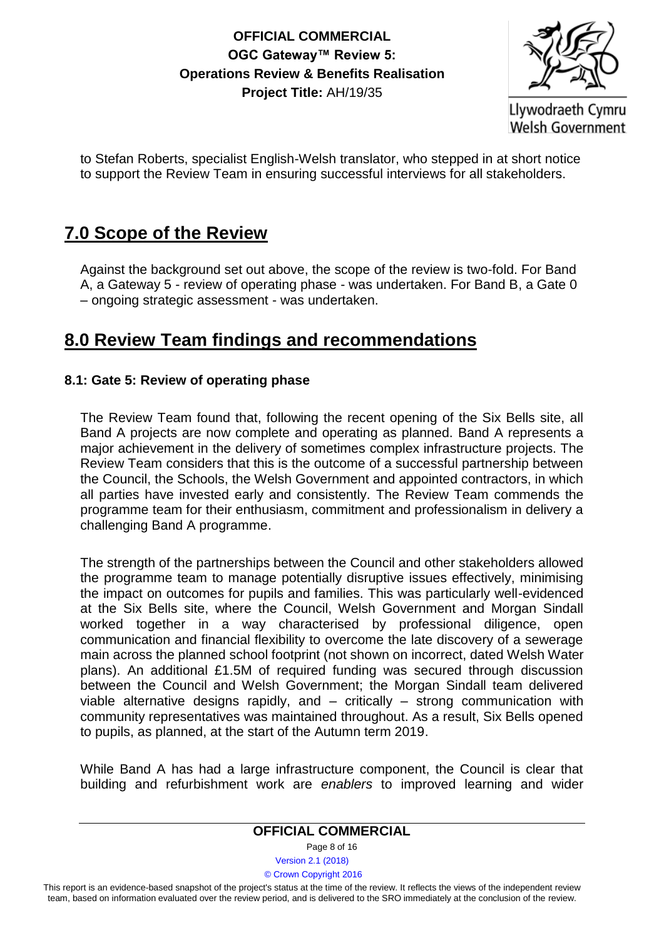

Llywodraeth Cymru **Welsh Government** 

to Stefan Roberts, specialist English-Welsh translator, who stepped in at short notice to support the Review Team in ensuring successful interviews for all stakeholders.

# **7.0 Scope of the Review**

Against the background set out above, the scope of the review is two-fold. For Band A, a Gateway 5 - review of operating phase - was undertaken. For Band B, a Gate 0 – ongoing strategic assessment - was undertaken.

# **8.0 Review Team findings and recommendations**

### **8.1: Gate 5: Review of operating phase**

The Review Team found that, following the recent opening of the Six Bells site, all Band A projects are now complete and operating as planned. Band A represents a major achievement in the delivery of sometimes complex infrastructure projects. The Review Team considers that this is the outcome of a successful partnership between the Council, the Schools, the Welsh Government and appointed contractors, in which all parties have invested early and consistently. The Review Team commends the programme team for their enthusiasm, commitment and professionalism in delivery a challenging Band A programme.

The strength of the partnerships between the Council and other stakeholders allowed the programme team to manage potentially disruptive issues effectively, minimising the impact on outcomes for pupils and families. This was particularly well-evidenced at the Six Bells site, where the Council, Welsh Government and Morgan Sindall worked together in a way characterised by professional diligence, open communication and financial flexibility to overcome the late discovery of a sewerage main across the planned school footprint (not shown on incorrect, dated Welsh Water plans). An additional £1.5M of required funding was secured through discussion between the Council and Welsh Government; the Morgan Sindall team delivered viable alternative designs rapidly, and – critically – strong communication with community representatives was maintained throughout. As a result, Six Bells opened to pupils, as planned, at the start of the Autumn term 2019.

While Band A has had a large infrastructure component, the Council is clear that building and refurbishment work are *enablers* to improved learning and wider

#### **OFFICIAL COMMERCIAL**

Page 8 of 16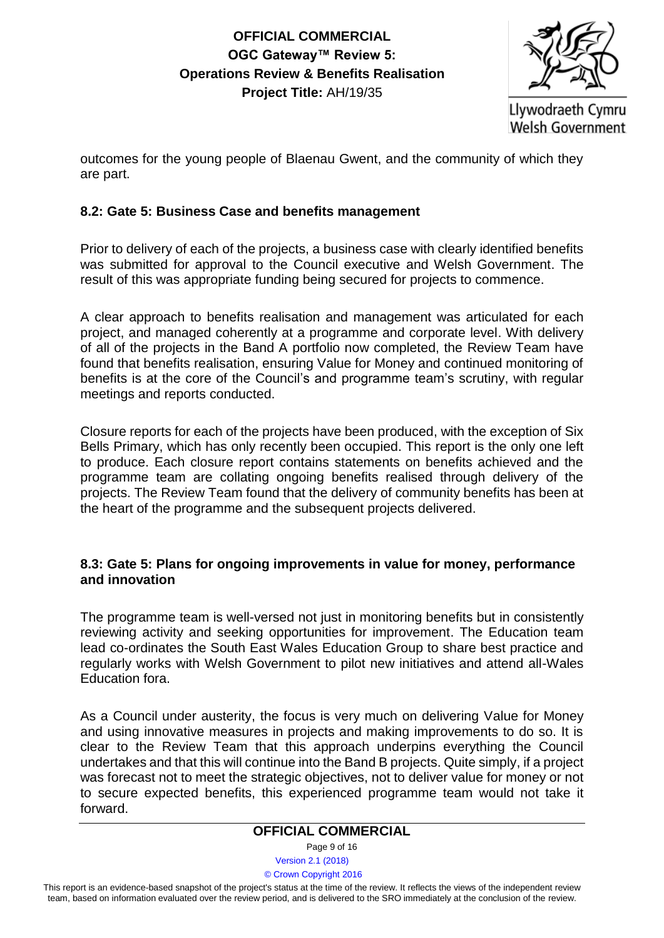

Llywodraeth Cymru **Welsh Government** 

outcomes for the young people of Blaenau Gwent, and the community of which they are part.

### **8.2: Gate 5: Business Case and benefits management**

Prior to delivery of each of the projects, a business case with clearly identified benefits was submitted for approval to the Council executive and Welsh Government. The result of this was appropriate funding being secured for projects to commence.

A clear approach to benefits realisation and management was articulated for each project, and managed coherently at a programme and corporate level. With delivery of all of the projects in the Band A portfolio now completed, the Review Team have found that benefits realisation, ensuring Value for Money and continued monitoring of benefits is at the core of the Council's and programme team's scrutiny, with regular meetings and reports conducted.

Closure reports for each of the projects have been produced, with the exception of Six Bells Primary, which has only recently been occupied. This report is the only one left to produce. Each closure report contains statements on benefits achieved and the programme team are collating ongoing benefits realised through delivery of the projects. The Review Team found that the delivery of community benefits has been at the heart of the programme and the subsequent projects delivered.

#### **8.3: Gate 5: Plans for ongoing improvements in value for money, performance and innovation**

The programme team is well-versed not just in monitoring benefits but in consistently reviewing activity and seeking opportunities for improvement. The Education team lead co-ordinates the South East Wales Education Group to share best practice and regularly works with Welsh Government to pilot new initiatives and attend all-Wales Education fora.

As a Council under austerity, the focus is very much on delivering Value for Money and using innovative measures in projects and making improvements to do so. It is clear to the Review Team that this approach underpins everything the Council undertakes and that this will continue into the Band B projects. Quite simply, if a project was forecast not to meet the strategic objectives, not to deliver value for money or not to secure expected benefits, this experienced programme team would not take it forward.

#### **OFFICIAL COMMERCIAL**

Page 9 of 16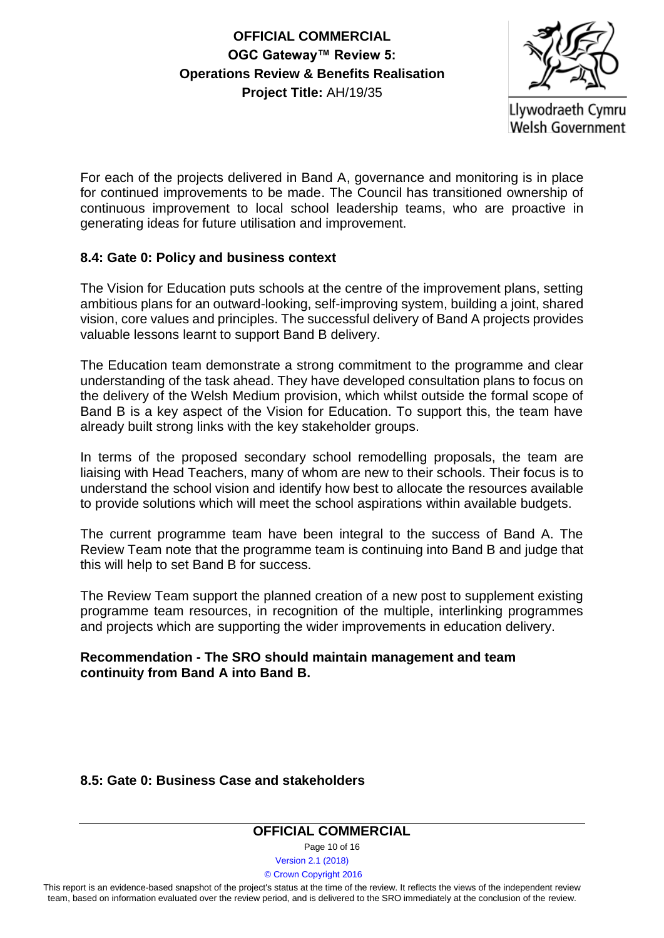

For each of the projects delivered in Band A, governance and monitoring is in place for continued improvements to be made. The Council has transitioned ownership of continuous improvement to local school leadership teams, who are proactive in generating ideas for future utilisation and improvement.

#### **8.4: Gate 0: Policy and business context**

The Vision for Education puts schools at the centre of the improvement plans, setting ambitious plans for an outward-looking, self-improving system, building a joint, shared vision, core values and principles. The successful delivery of Band A projects provides valuable lessons learnt to support Band B delivery.

The Education team demonstrate a strong commitment to the programme and clear understanding of the task ahead. They have developed consultation plans to focus on the delivery of the Welsh Medium provision, which whilst outside the formal scope of Band B is a key aspect of the Vision for Education. To support this, the team have already built strong links with the key stakeholder groups.

In terms of the proposed secondary school remodelling proposals, the team are liaising with Head Teachers, many of whom are new to their schools. Their focus is to understand the school vision and identify how best to allocate the resources available to provide solutions which will meet the school aspirations within available budgets.

The current programme team have been integral to the success of Band A. The Review Team note that the programme team is continuing into Band B and judge that this will help to set Band B for success.

The Review Team support the planned creation of a new post to supplement existing programme team resources, in recognition of the multiple, interlinking programmes and projects which are supporting the wider improvements in education delivery.

#### **Recommendation - The SRO should maintain management and team continuity from Band A into Band B.**

#### **8.5: Gate 0: Business Case and stakeholders**

#### **OFFICIAL COMMERCIAL**

Page 10 of 16

Version 2.1 (2018)

© Crown Copyright 2016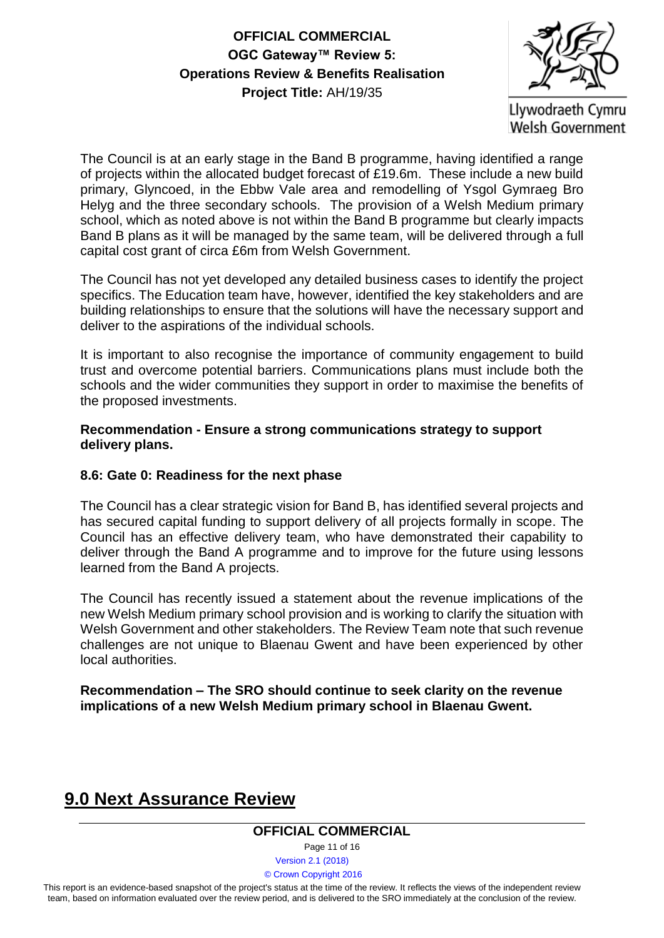

Llywodraeth Cymru **Welsh Government** 

The Council is at an early stage in the Band B programme, having identified a range of projects within the allocated budget forecast of £19.6m. These include a new build primary, Glyncoed, in the Ebbw Vale area and remodelling of Ysgol Gymraeg Bro Helyg and the three secondary schools. The provision of a Welsh Medium primary school, which as noted above is not within the Band B programme but clearly impacts Band B plans as it will be managed by the same team, will be delivered through a full capital cost grant of circa £6m from Welsh Government.

The Council has not yet developed any detailed business cases to identify the project specifics. The Education team have, however, identified the key stakeholders and are building relationships to ensure that the solutions will have the necessary support and deliver to the aspirations of the individual schools.

It is important to also recognise the importance of community engagement to build trust and overcome potential barriers. Communications plans must include both the schools and the wider communities they support in order to maximise the benefits of the proposed investments.

#### **Recommendation - Ensure a strong communications strategy to support delivery plans.**

#### **8.6: Gate 0: Readiness for the next phase**

The Council has a clear strategic vision for Band B, has identified several projects and has secured capital funding to support delivery of all projects formally in scope. The Council has an effective delivery team, who have demonstrated their capability to deliver through the Band A programme and to improve for the future using lessons learned from the Band A projects.

The Council has recently issued a statement about the revenue implications of the new Welsh Medium primary school provision and is working to clarify the situation with Welsh Government and other stakeholders. The Review Team note that such revenue challenges are not unique to Blaenau Gwent and have been experienced by other local authorities.

#### **Recommendation – The SRO should continue to seek clarity on the revenue implications of a new Welsh Medium primary school in Blaenau Gwent.**

# **9.0 Next Assurance Review**

#### **OFFICIAL COMMERCIAL**

Page 11 of 16

Version 2.1 (2018)

#### © Crown Copyright 2016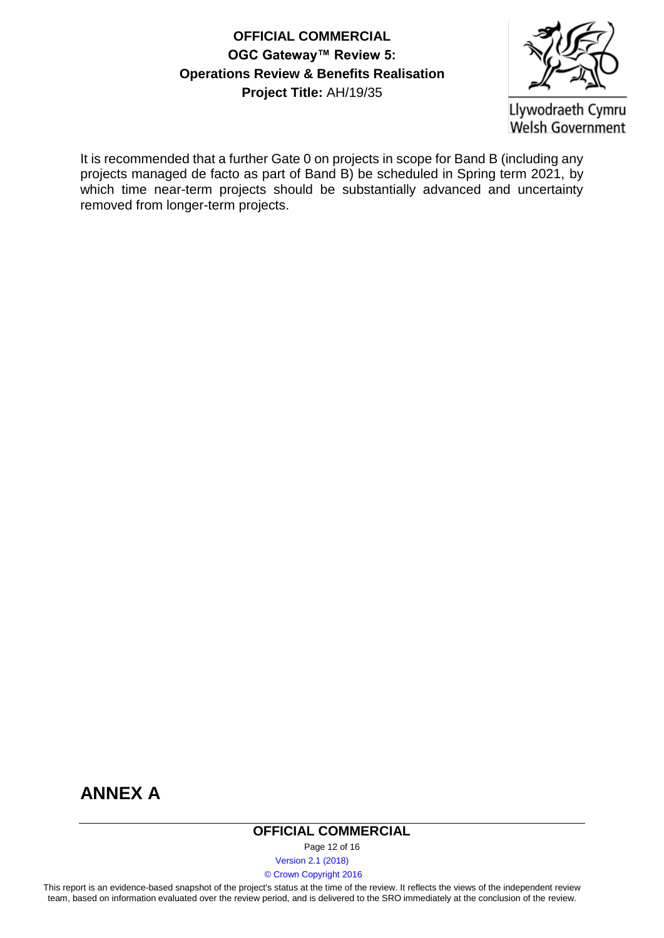

Llywodraeth Cymru **Welsh Government** 

It is recommended that a further Gate 0 on projects in scope for Band B (including any projects managed de facto as part of Band B) be scheduled in Spring term 2021, by which time near-term projects should be substantially advanced and uncertainty removed from longer-term projects.



#### **OFFICIAL COMMERCIAL**

Page 12 of 16

Version 2.1 (2018)

© Crown Copyright 2016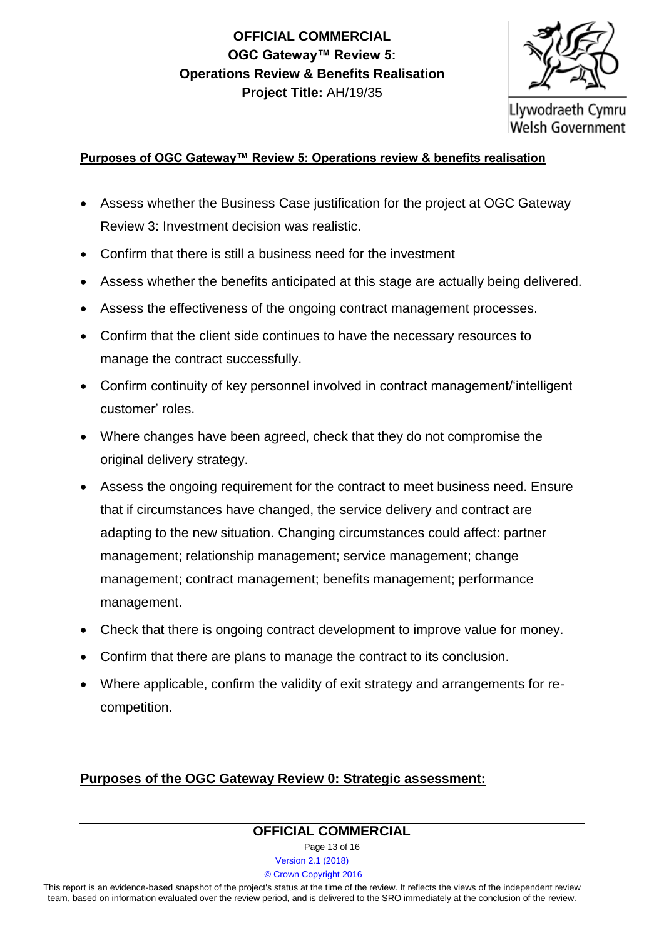

Llywodraeth Cymru **Welsh Government** 

#### **Purposes of OGC Gateway™ Review 5: Operations review & benefits realisation**

- Assess whether the Business Case justification for the project at OGC Gateway Review 3: Investment decision was realistic.
- Confirm that there is still a business need for the investment
- Assess whether the benefits anticipated at this stage are actually being delivered.
- Assess the effectiveness of the ongoing contract management processes.
- Confirm that the client side continues to have the necessary resources to manage the contract successfully.
- Confirm continuity of key personnel involved in contract management/'intelligent customer' roles.
- Where changes have been agreed, check that they do not compromise the original delivery strategy.
- Assess the ongoing requirement for the contract to meet business need. Ensure that if circumstances have changed, the service delivery and contract are adapting to the new situation. Changing circumstances could affect: partner management; relationship management; service management; change management; contract management; benefits management; performance management.
- Check that there is ongoing contract development to improve value for money.
- Confirm that there are plans to manage the contract to its conclusion.
- Where applicable, confirm the validity of exit strategy and arrangements for recompetition.

#### **Purposes of the OGC Gateway Review 0: Strategic assessment:**

# **OFFICIAL COMMERCIAL**

Page 13 of 16

Version 2.1 (2018)

© Crown Copyright 2016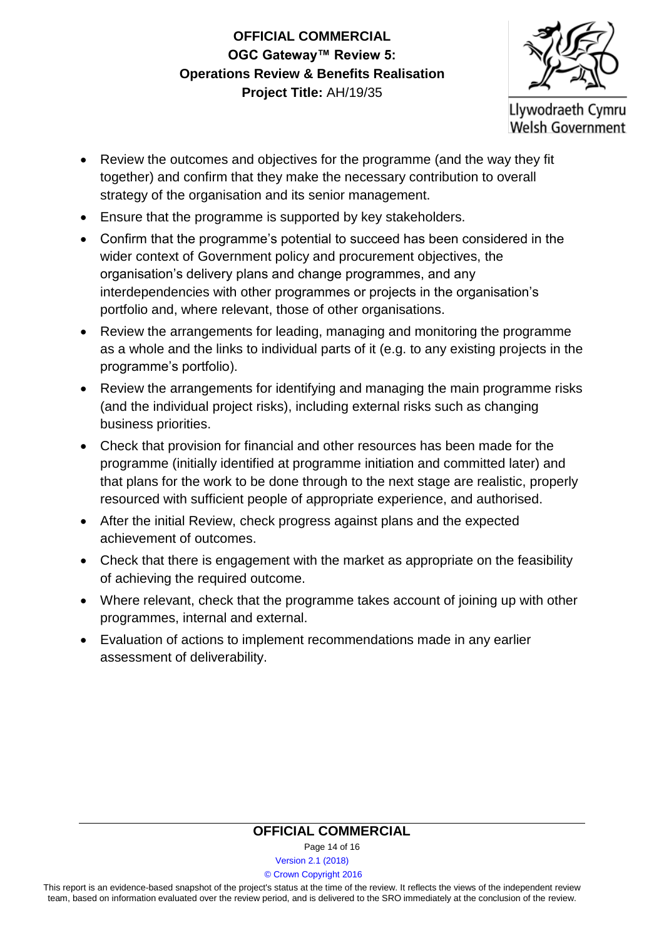Llywodraeth Cymru **Welsh Government** 

- Review the outcomes and objectives for the programme (and the way they fit together) and confirm that they make the necessary contribution to overall strategy of the organisation and its senior management.
- Ensure that the programme is supported by key stakeholders.
- Confirm that the programme's potential to succeed has been considered in the wider context of Government policy and procurement objectives, the organisation's delivery plans and change programmes, and any interdependencies with other programmes or projects in the organisation's portfolio and, where relevant, those of other organisations.
- Review the arrangements for leading, managing and monitoring the programme as a whole and the links to individual parts of it (e.g. to any existing projects in the programme's portfolio).
- Review the arrangements for identifying and managing the main programme risks (and the individual project risks), including external risks such as changing business priorities.
- Check that provision for financial and other resources has been made for the programme (initially identified at programme initiation and committed later) and that plans for the work to be done through to the next stage are realistic, properly resourced with sufficient people of appropriate experience, and authorised.
- After the initial Review, check progress against plans and the expected achievement of outcomes.
- Check that there is engagement with the market as appropriate on the feasibility of achieving the required outcome.
- Where relevant, check that the programme takes account of joining up with other programmes, internal and external.
- Evaluation of actions to implement recommendations made in any earlier assessment of deliverability.

### **OFFICIAL COMMERCIAL**

Page 14 of 16

Version 2.1 (2018)

#### © Crown Copyright 2016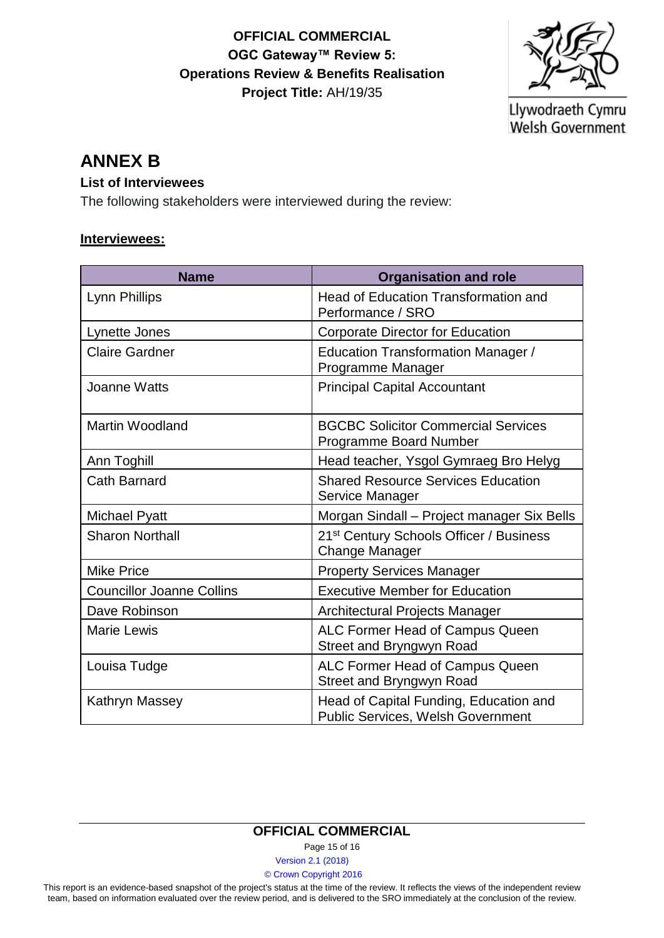

Llywodraeth Cymru Welsh Government

## **ANNEX B**

#### **List of Interviewees**

The following stakeholders were interviewed during the review:

#### **Interviewees:**

| <b>Name</b>                      | <b>Organisation and role</b>                                                       |
|----------------------------------|------------------------------------------------------------------------------------|
| Lynn Phillips                    | <b>Head of Education Transformation and</b><br>Performance / SRO                   |
| Lynette Jones                    | Corporate Director for Education                                                   |
| <b>Claire Gardner</b>            | <b>Education Transformation Manager /</b><br>Programme Manager                     |
| <b>Joanne Watts</b>              | <b>Principal Capital Accountant</b>                                                |
| <b>Martin Woodland</b>           | <b>BGCBC Solicitor Commercial Services</b><br>Programme Board Number               |
| Ann Toghill                      | Head teacher, Ysgol Gymraeg Bro Helyg                                              |
| <b>Cath Barnard</b>              | <b>Shared Resource Services Education</b><br>Service Manager                       |
| Michael Pyatt                    | Morgan Sindall - Project manager Six Bells                                         |
| <b>Sharon Northall</b>           | 21 <sup>st</sup> Century Schools Officer / Business<br><b>Change Manager</b>       |
| <b>Mike Price</b>                | <b>Property Services Manager</b>                                                   |
| <b>Councillor Joanne Collins</b> | <b>Executive Member for Education</b>                                              |
| Dave Robinson                    | Architectural Projects Manager                                                     |
| <b>Marie Lewis</b>               | ALC Former Head of Campus Queen<br>Street and Bryngwyn Road                        |
| Louisa Tudge                     | ALC Former Head of Campus Queen<br>Street and Bryngwyn Road                        |
| Kathryn Massey                   | Head of Capital Funding, Education and<br><b>Public Services, Welsh Government</b> |

#### **OFFICIAL COMMERCIAL**

Page 15 of 16

Version 2.1 (2018)

© Crown Copyright 2016